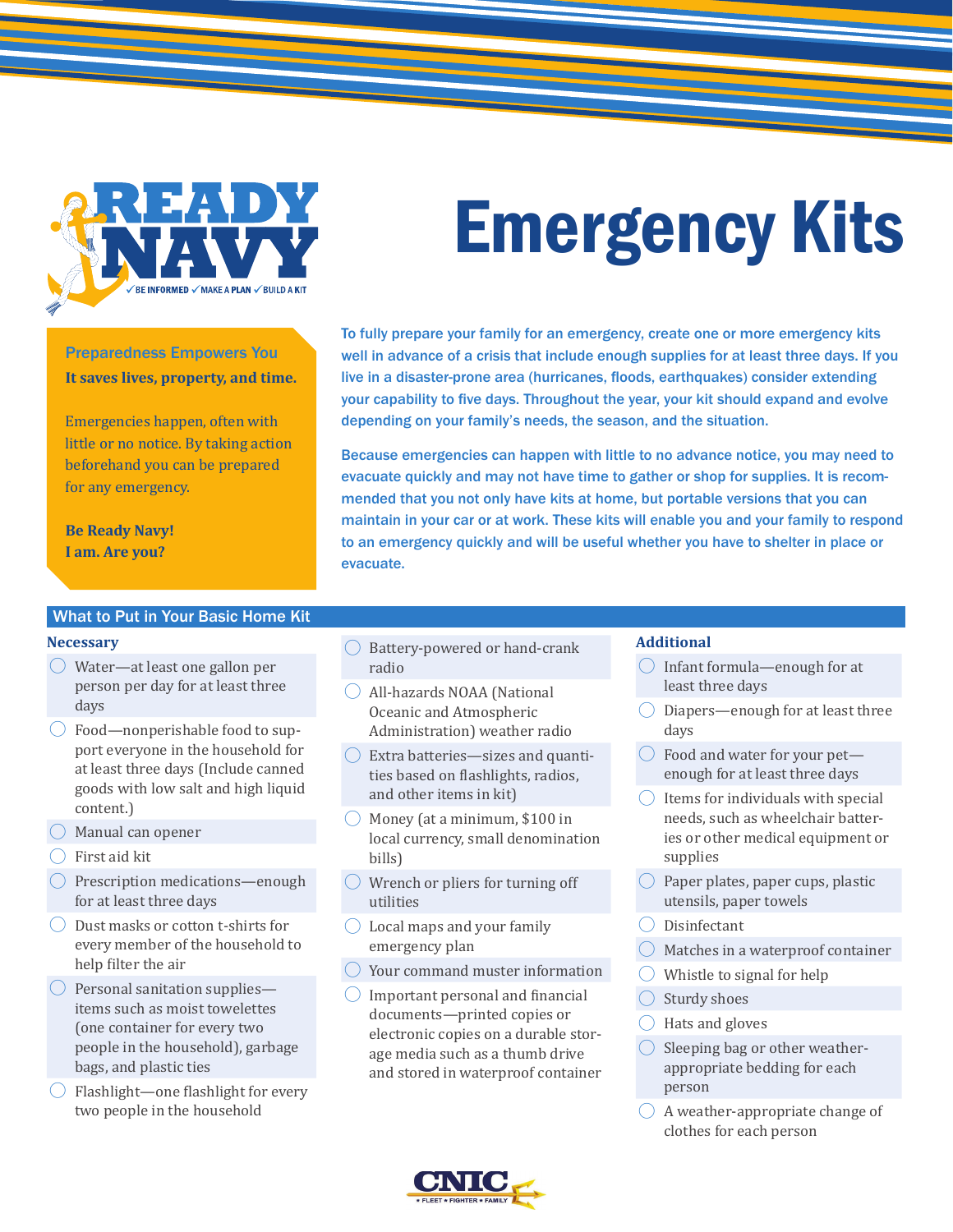

Preparedness Empowers You **It saves lives, property, and time.**

Emergencies happen, often with little or no notice. By taking action beforehand you can be prepared for any emergency.

**Be Ready Navy! I am. Are you?**

# Emergency Kits

To fully prepare your family for an emergency, create one or more emergency kits well in advance of a crisis that include enough supplies for at least three days. If you live in a disaster-prone area (hurricanes, floods, earthquakes) consider extending your capability to five days. Throughout the year, your kit should expand and evolve depending on your family's needs, the season, and the situation.

Because emergencies can happen with little to no advance notice, you may need to evacuate quickly and may not have time to gather or shop for supplies. It is recommended that you not only have kits at home, but portable versions that you can maintain in your car or at work. These kits will enable you and your family to respond to an emergency quickly and will be useful whether you have to shelter in place or evacuate.

#### What to Put in Your Basic Home Kit

#### **Necessary**

- $\bigcirc$  Water—at least one gallon per person per day for at least three days
- $\bigcirc$  Food—nonperishable food to support everyone in the household for at least three days (Include canned goods with low salt and high liquid content.)
- $\bigcirc$  Manual can opener
- $\bigcirc$  First aid kit
- $\bigcirc$  Prescription medications—enough for at least three days
- $\bigcirc$  Dust masks or cotton t-shirts for every member of the household to help filter the air
- $\bigcirc$  Personal sanitation supplies items such as moist towelettes (one container for every two people in the household), garbage bags, and plastic ties
- $\bigcirc$  Flashlight—one flashlight for every two people in the household
- $\bigcirc$  Battery-powered or hand-crank radio
- ◯ All-hazards NOAA (National Oceanic and Atmospheric Administration) weather radio
- $\bigcirc$  Extra batteries—sizes and quantities based on flashlights, radios, and other items in kit)
- $\bigcirc$  Money (at a minimum, \$100 in local currency, small denomination bills)
- $\bigcirc$  Wrench or pliers for turning off utilities
- $\bigcirc$  Local maps and your family emergency plan
- Your command muster information
- � Important personal and financial documents—printed copies or electronic copies on a durable storage media such as a thumb drive and stored in waterproof container

#### **Additional**

- $\bigcirc$  Infant formula—enough for at least three days
- $\bigcirc$  Diapers—enough for at least three days
- $\bigcirc$  Food and water for your pet enough for at least three days
- $\bigcirc$  Items for individuals with special needs, such as wheelchair batteries or other medical equipment or supplies
- $\bigcirc$  Paper plates, paper cups, plastic utensils, paper towels
- $\bigcirc$  Disinfectant
- Matches in a waterproof container
- Whistle to signal for help
- Sturdy shoes
- � Hats and gloves
- $\bigcirc$  Sleeping bag or other weatherappropriate bedding for each person
- $\bigcirc$  A weather-appropriate change of clothes for each person